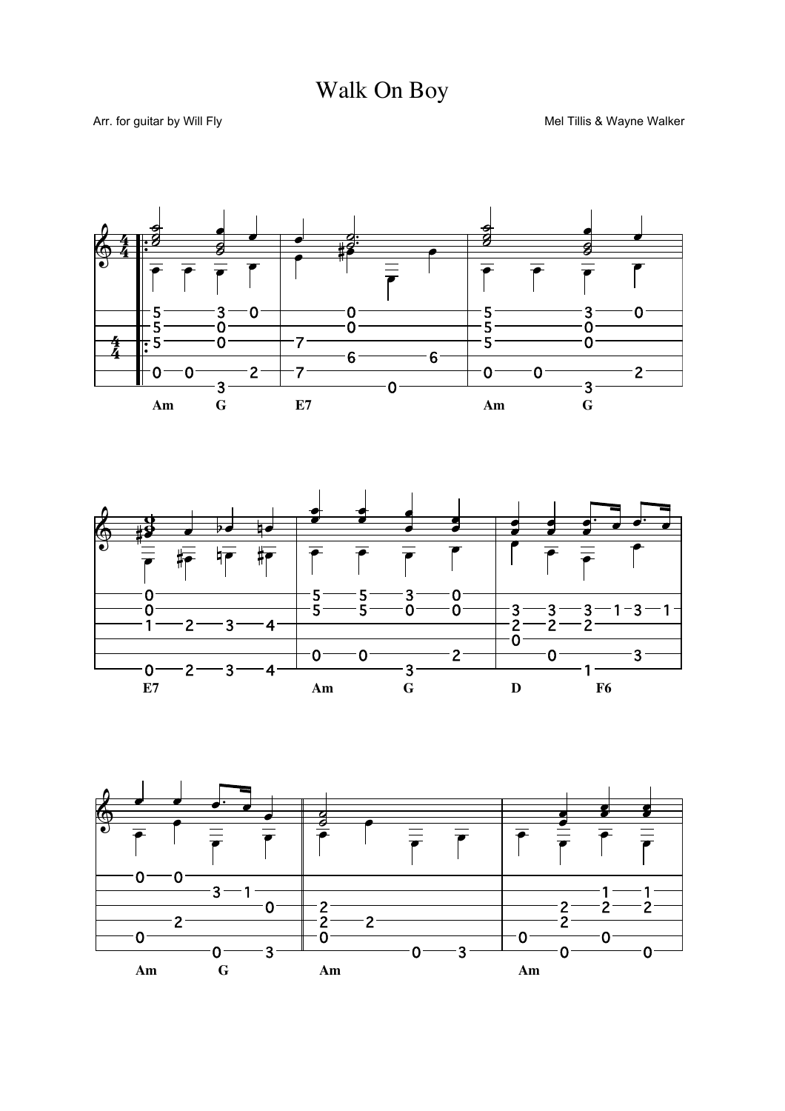



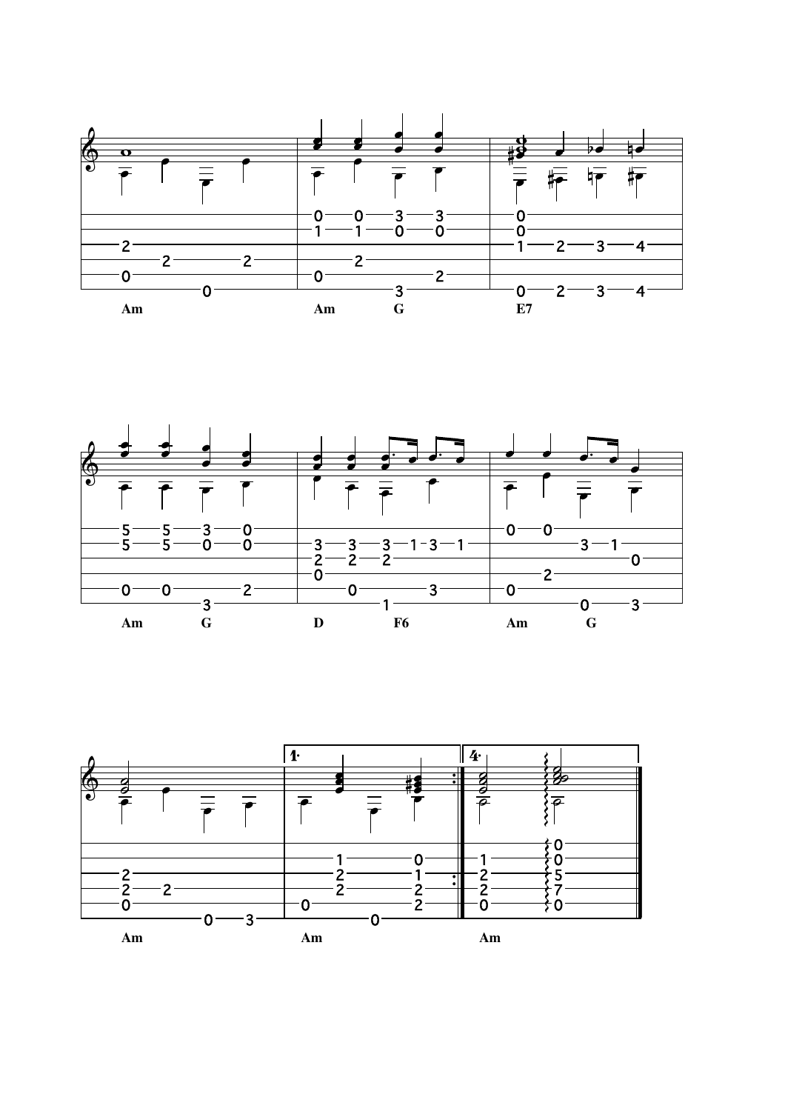